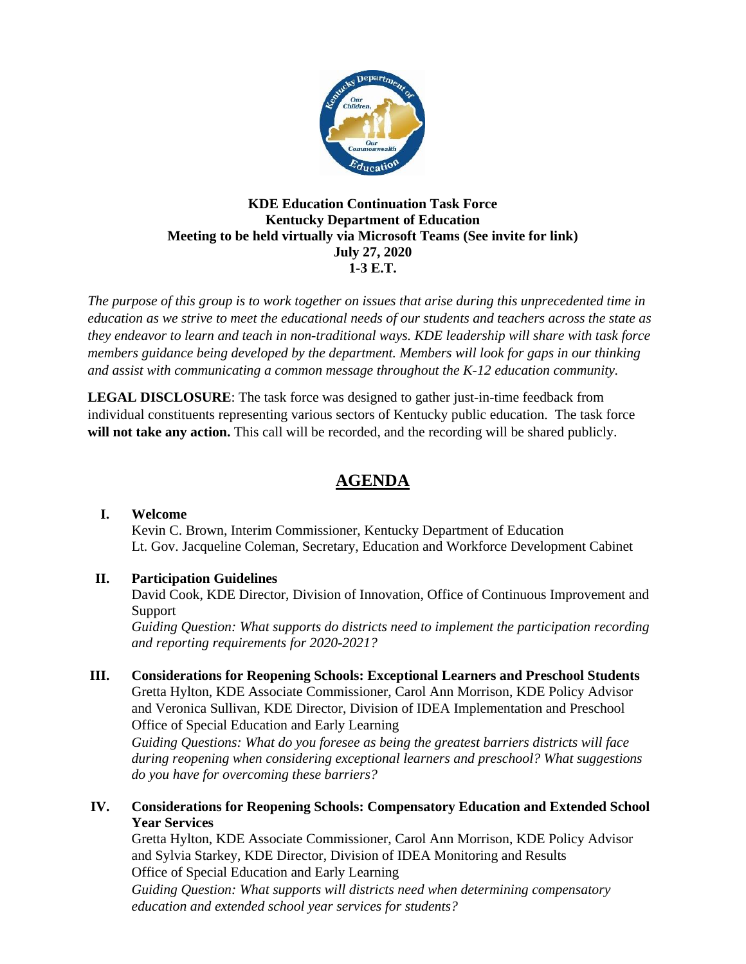

#### **KDE Education Continuation Task Force Kentucky Department of Education Meeting to be held virtually via Microsoft Teams (See invite for link) July 27, 2020 1-3 E.T.**

*The purpose of this group is to work together on issues that arise during this unprecedented time in education as we strive to meet the educational needs of our students and teachers across the state as they endeavor to learn and teach in non-traditional ways. KDE leadership will share with task force members guidance being developed by the department. Members will look for gaps in our thinking and assist with communicating a common message throughout the K-12 education community.*

**LEGAL DISCLOSURE**: The task force was designed to gather just-in-time feedback from individual constituents representing various sectors of Kentucky public education. The task force **will not take any action.** This call will be recorded, and the recording will be shared publicly.

# **AGENDA**

#### **I. Welcome**

Kevin C. Brown, Interim Commissioner, Kentucky Department of Education Lt. Gov. Jacqueline Coleman, Secretary, Education and Workforce Development Cabinet

# **II. Participation Guidelines**

David Cook, KDE Director, Division of Innovation, Office of Continuous Improvement and Support

*Guiding Question: What supports do districts need to implement the participation recording and reporting requirements for 2020-2021?*

**III. Considerations for Reopening Schools: Exceptional Learners and Preschool Students** Gretta Hylton, KDE Associate Commissioner, Carol Ann Morrison, KDE Policy Advisor and Veronica Sullivan, KDE Director, Division of IDEA Implementation and Preschool Office of Special Education and Early Learning

*Guiding Questions: What do you foresee as being the greatest barriers districts will face during reopening when considering exceptional learners and preschool? What suggestions do you have for overcoming these barriers?*

## **IV. Considerations for Reopening Schools: Compensatory Education and Extended School Year Services**

Gretta Hylton, KDE Associate Commissioner, Carol Ann Morrison, KDE Policy Advisor and Sylvia Starkey, KDE Director, Division of IDEA Monitoring and Results Office of Special Education and Early Learning *Guiding Question: What supports will districts need when determining compensatory* 

*education and extended school year services for students?*